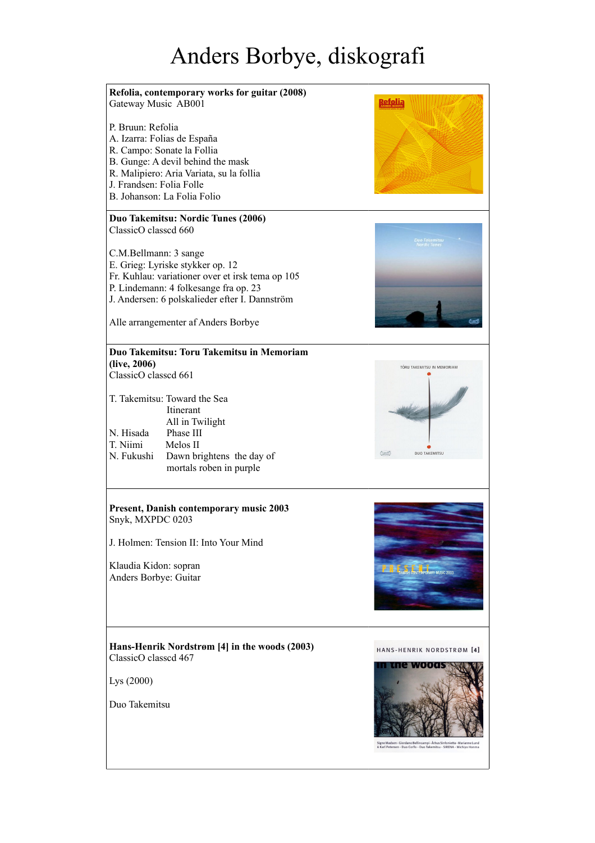## Anders Borbye, diskografi